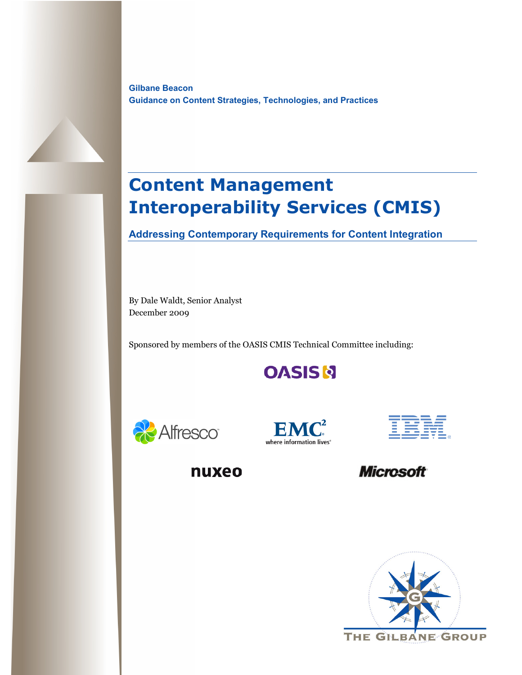**Gilbane Beacon Guidance on Content Strategies, Technologies, and Practices**

# **Content Management Interoperability Services (CMIS)**

**Addressing Contemporary Requirements for Content Integration** 

By Dale Waldt, Senior Analyst December 2009

Sponsored by members of the OASIS CMIS Technical Committee including:

**OASISN** 







nuxeo

**Microsoft** 

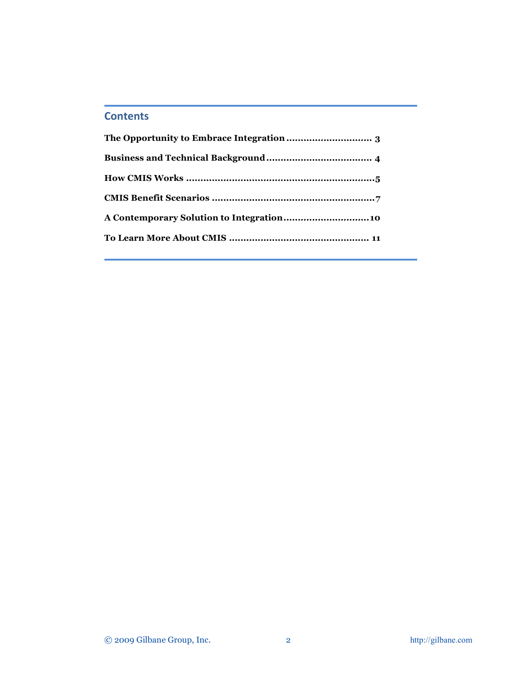# **Contents**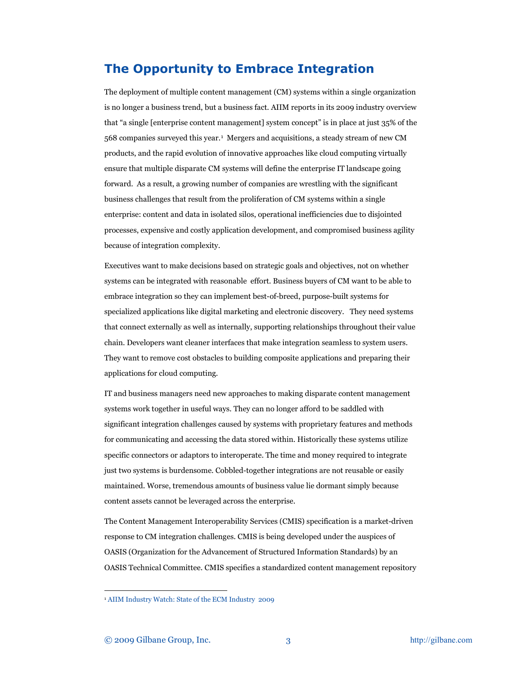## <span id="page-2-0"></span>**The Opportunity to Embrace Integration**

The deployment of multiple content management (CM) systems within a single organization is no longer a business trend, but a business fact. AIIM reports in its 2009 industry overview that "a single [enterprise content management] system concept" is in place at just 35% of the 568 companies surveyed this year.[1](#page-2-1) Mergers and acquisitions, a steady stream of new CM products, and the rapid evolution of innovative approaches like cloud computing virtually ensure that multiple disparate CM systems will define the enterprise IT landscape going forward. As a result, a growing number of companies are wrestling with the significant business challenges that result from the proliferation of CM systems within a single enterprise: content and data in isolated silos, operational inefficiencies due to disjointed processes, expensive and costly application development, and compromised business agility because of integration complexity.

Executives want to make decisions based on strategic goals and objectives, not on whether systems can be integrated with reasonable effort. Business buyers of CM want to be able to embrace integration so they can implement best-of-breed, purpose-built systems for specialized applications like digital marketing and electronic discovery. They need systems that connect externally as well as internally, supporting relationships throughout their value chain. Developers want cleaner interfaces that make integration seamless to system users. They want to remove cost obstacles to building composite applications and preparing their applications for cloud computing.

IT and business managers need new approaches to making disparate content management systems work together in useful ways. They can no longer afford to be saddled with significant integration challenges caused by systems with proprietary features and methods for communicating and accessing the data stored within. Historically these systems utilize specific connectors or adaptors to interoperate. The time and money required to integrate just two systems is burdensome. Cobbled-together integrations are not reusable or easily maintained. Worse, tremendous amounts of business value lie dormant simply because content assets cannot be leveraged across the enterprise.

The Content Management Interoperability Services (CMIS) specification is a market-driven response to CM integration challenges. CMIS is being developed under the auspices of OASIS (Organization for the Advancement of Structured Information Standards) by an OASIS Technical Committee. CMIS specifies a standardized content management repository

<span id="page-2-1"></span> <sup>1</sup> [AIIM Industry Watch: State of the ECM Industry 2009](http://www.aiim.org/PDFDocuments/36031.pdf)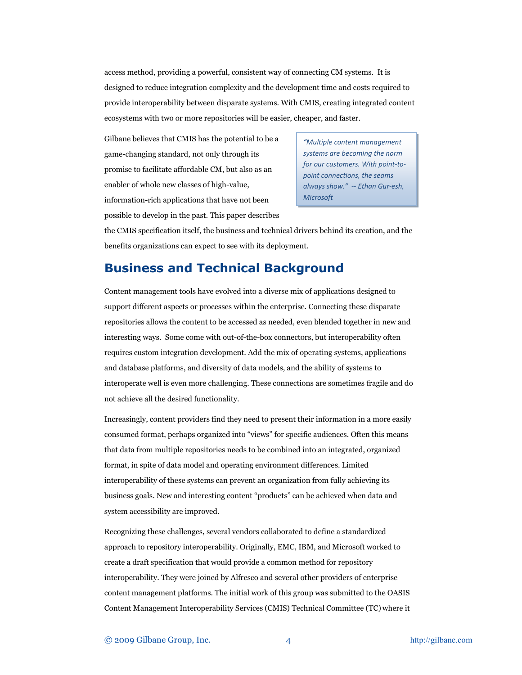access method, providing a powerful, consistent way of connecting CM systems. It is designed to reduce integration complexity and the development time and costs required to provide interoperability between disparate systems. With CMIS, creating integrated content ecosystems with two or more repositories will be easier, cheaper, and faster.

Gilbane believes that CMIS has the potential to be a game-changing standard, not only through its promise to facilitate affordable CM, but also as an enabler of whole new classes of high-value, information-rich applications that have not been possible to develop in the past. This paper describes

*"Multiple content management systems are becoming the norm for our customers. With point-topoint connections, the seams always show."* -- *Ethan Gur-esh, Microsoft*

the CMIS specification itself, the business and technical drivers behind its creation, and the benefits organizations can expect to see with its deployment.

# <span id="page-3-0"></span>**Business and Technical Background**

Content management tools have evolved into a diverse mix of applications designed to support different aspects or processes within the enterprise. Connecting these disparate repositories allows the content to be accessed as needed, even blended together in new and interesting ways. Some come with out-of-the-box connectors, but interoperability often requires custom integration development. Add the mix of operating systems, applications and database platforms, and diversity of data models, and the ability of systems to interoperate well is even more challenging. These connections are sometimes fragile and do not achieve all the desired functionality.

Increasingly, content providers find they need to present their information in a more easily consumed format, perhaps organized into "views" for specific audiences. Often this means that data from multiple repositories needs to be combined into an integrated, organized format, in spite of data model and operating environment differences. Limited interoperability of these systems can prevent an organization from fully achieving its business goals. New and interesting content "products" can be achieved when data and system accessibility are improved.

Recognizing these challenges, several vendors collaborated to define a standardized approach to repository interoperability. Originally, EMC, IBM, and Microsoft worked to create a draft specification that would provide a common method for repository interoperability. They were joined by Alfresco and several other providers of enterprise content management platforms. The initial work of this group was submitted to the OASIS Content Management Interoperability Services (CMIS) Technical Committee (TC) where it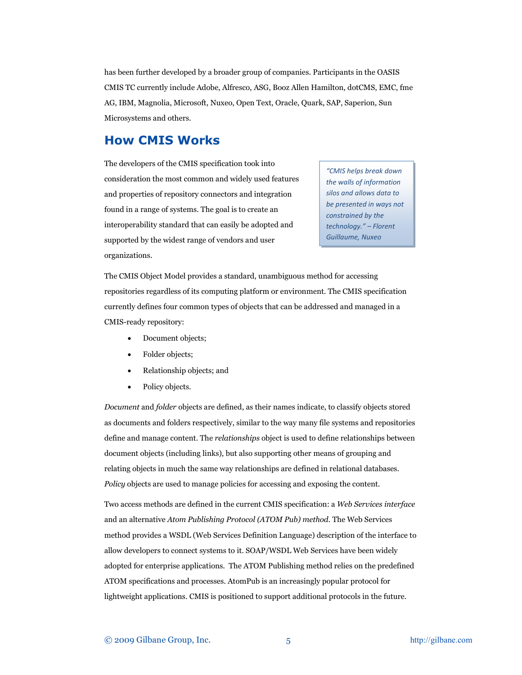has been further developed by a broader group of companies. Participants in the OASIS CMIS TC currently include Adobe, Alfresco, ASG, Booz Allen Hamilton, dotCMS, EMC, fme AG, IBM, Magnolia, Microsoft, Nuxeo, Open Text, Oracle, Quark, SAP, Saperion, Sun Microsystems and others.

### <span id="page-4-0"></span>**How CMIS Works**

The developers of the CMIS specification took into consideration the most common and widely used features and properties of repository connectors and integration found in a range of systems. The goal is to create an interoperability standard that can easily be adopted and supported by the widest range of vendors and user organizations.

*"CMIS helps break down the walls of information silos and allows data to be presented in ways not constrained by the technology." – Florent Guillaume, Nuxeo*

The CMIS Object Model provides a standard, unambiguous method for accessing repositories regardless of its computing platform or environment. The CMIS specification currently defines four common types of objects that can be addressed and managed in a CMIS-ready repository:

- Document objects;
- Folder objects;
- Relationship objects; and
- Policy objects.

*Document* and *folder* objects are defined, as their names indicate, to classify objects stored as documents and folders respectively, similar to the way many file systems and repositories define and manage content. The *relationships* object is used to define relationships between document objects (including links), but also supporting other means of grouping and relating objects in much the same way relationships are defined in relational databases. *Policy* objects are used to manage policies for accessing and exposing the content.

Two access methods are defined in the current CMIS specification: a *Web Services interface* and an alternative *Atom Publishing Protocol (ATOM Pub) method*. The Web Services method provides a WSDL (Web Services Definition Language) description of the interface to allow developers to connect systems to it. SOAP/WSDL Web Services have been widely adopted for enterprise applications. The ATOM Publishing method relies on the predefined ATOM specifications and processes. AtomPub is an increasingly popular protocol for lightweight applications. CMIS is positioned to support additional protocols in the future.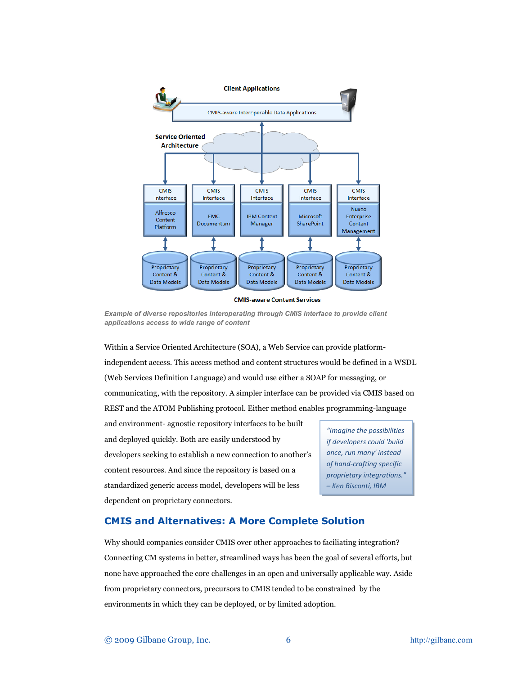

**CMIS-aware Content Services** 

*Example of diverse repositories interoperating through CMIS interface to provide client applications access to wide range of content*

Within a Service Oriented Architecture (SOA), a Web Service can provide platformindependent access. This access method and content structures would be defined in a WSDL (Web Services Definition Language) and would use either a SOAP for messaging, or communicating, with the repository. A simpler interface can be provided via CMIS based on REST and the ATOM Publishing protocol. Either method enables programming-language

and environment- agnostic repository interfaces to be built and deployed quickly. Both are easily understood by developers seeking to establish a new connection to another's content resources. And since the repository is based on a standardized generic access model, developers will be less dependent on proprietary connectors.

*"Imagine the possibilities if developers could 'build once, run many' instead of hand-crafting specific proprietary integrations." – Ken Bisconti, IBM*

#### **CMIS and Alternatives: A More Complete Solution**

Why should companies consider CMIS over other approaches to faciliating integration? Connecting CM systems in better, streamlined ways has been the goal of several efforts, but none have approached the core challenges in an open and universally applicable way. Aside from proprietary connectors, precursors to CMIS tended to be constrained by the environments in which they can be deployed, or by limited adoption.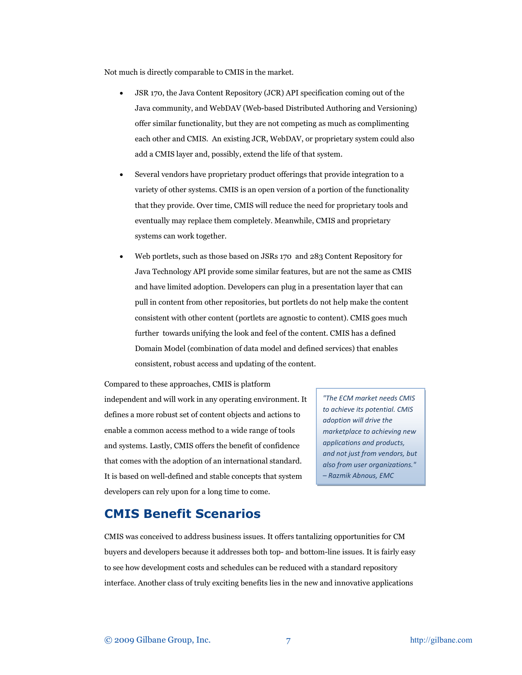Not much is directly comparable to CMIS in the market.

- JSR 170, the Java Content Repository (JCR) API specification coming out of the Java community, and WebDAV (Web-based Distributed Authoring and Versioning) offer similar functionality, but they are not competing as much as complimenting each other and CMIS. An existing JCR, WebDAV, or proprietary system could also add a CMIS layer and, possibly, extend the life of that system.
- Several vendors have proprietary product offerings that provide integration to a variety of other systems. CMIS is an open version of a portion of the functionality that they provide. Over time, CMIS will reduce the need for proprietary tools and eventually may replace them completely. Meanwhile, CMIS and proprietary systems can work together.
- Web portlets, such as those based on JSRs 170 and 283 Content Repository for Java Technology API provide some similar features, but are not the same as CMIS and have limited adoption. Developers can plug in a presentation layer that can pull in content from other repositories, but portlets do not help make the content consistent with other content (portlets are agnostic to content). CMIS goes much further towards unifying the look and feel of the content. CMIS has a defined Domain Model (combination of data model and defined services) that enables consistent, robust access and updating of the content.

Compared to these approaches, CMIS is platform independent and will work in any operating environment. It defines a more robust set of content objects and actions to enable a common access method to a wide range of tools and systems. Lastly, CMIS offers the benefit of confidence that comes with the adoption of an international standard. It is based on well-defined and stable concepts that system developers can rely upon for a long time to come.

*"The ECM market needs CMIS to achieve its potential. CMIS adoption will drive the marketplace to achieving new applications and products, and not just from vendors, but also from user organizations." – Razmik Abnous, EMC*

### <span id="page-6-0"></span>**CMIS Benefit Scenarios**

CMIS was conceived to address business issues. It offers tantalizing opportunities for CM buyers and developers because it addresses both top- and bottom-line issues. It is fairly easy to see how development costs and schedules can be reduced with a standard repository interface. Another class of truly exciting benefits lies in the new and innovative applications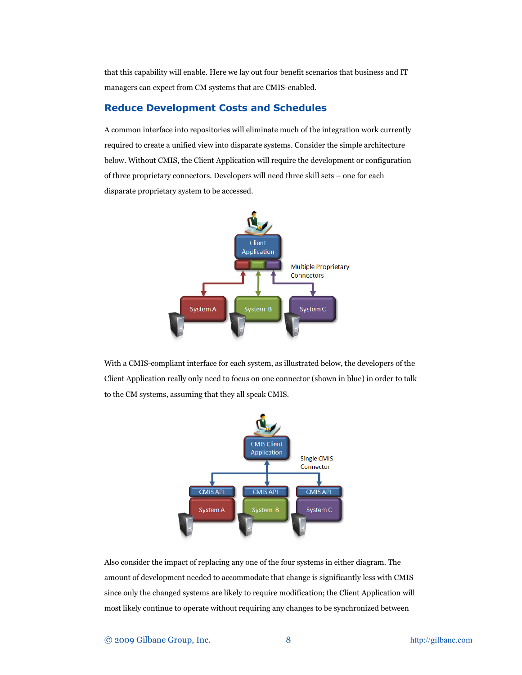that this capability will enable. Here we lay out four benefit scenarios that business and IT managers can expect from CM systems that are CMIS-enabled.

#### **Reduce Development Costs and Schedules**

A common interface into repositories will eliminate much of the integration work currently required to create a unified view into disparate systems. Consider the simple architecture below. Without CMIS, the Client Application will require the development or configuration of three proprietary connectors. Developers will need three skill sets – one for each disparate proprietary system to be accessed.



With a CMIS-compliant interface for each system, as illustrated below, the developers of the Client Application really only need to focus on one connector (shown in blue) in order to talk to the CM systems, assuming that they all speak CMIS.



Also consider the impact of replacing any one of the four systems in either diagram. The amount of development needed to accommodate that change is significantly less with CMIS since only the changed systems are likely to require modification; the Client Application will most likely continue to operate without requiring any changes to be synchronized between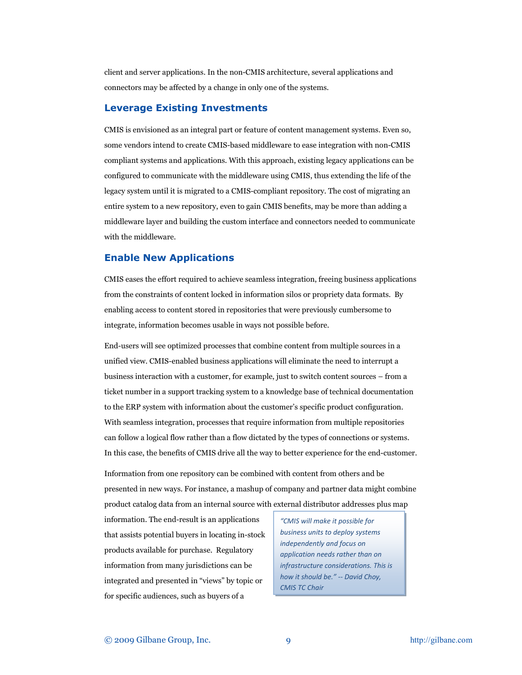client and server applications. In the non-CMIS architecture, several applications and connectors may be affected by a change in only one of the systems.

#### **Leverage Existing Investments**

CMIS is envisioned as an integral part or feature of content management systems. Even so, some vendors intend to create CMIS-based middleware to ease integration with non-CMIS compliant systems and applications. With this approach, existing legacy applications can be configured to communicate with the middleware using CMIS, thus extending the life of the legacy system until it is migrated to a CMIS-compliant repository. The cost of migrating an entire system to a new repository, even to gain CMIS benefits, may be more than adding a middleware layer and building the custom interface and connectors needed to communicate with the middleware.

#### **Enable New Applications**

CMIS eases the effort required to achieve seamless integration, freeing business applications from the constraints of content locked in information silos or propriety data formats. By enabling access to content stored in repositories that were previously cumbersome to integrate, information becomes usable in ways not possible before.

End-users will see optimized processes that combine content from multiple sources in a unified view. CMIS-enabled business applications will eliminate the need to interrupt a business interaction with a customer, for example, just to switch content sources – from a ticket number in a support tracking system to a knowledge base of technical documentation to the ERP system with information about the customer's specific product configuration. With seamless integration, processes that require information from multiple repositories can follow a logical flow rather than a flow dictated by the types of connections or systems. In this case, the benefits of CMIS drive all the way to better experience for the end-customer.

Information from one repository can be combined with content from others and be presented in new ways. For instance, a mashup of company and partner data might combine product catalog data from an internal source with external distributor addresses plus map

information. The end-result is an applications that assists potential buyers in locating in-stock products available for purchase. Regulatory information from many jurisdictions can be integrated and presented in "views" by topic or for specific audiences, such as buyers of a

*"CMIS will make it possible for business units to deploy systems independently and focus on application needs rather than on infrastructure considerations. This is how it should be." -- David Choy, CMIS TC Chair*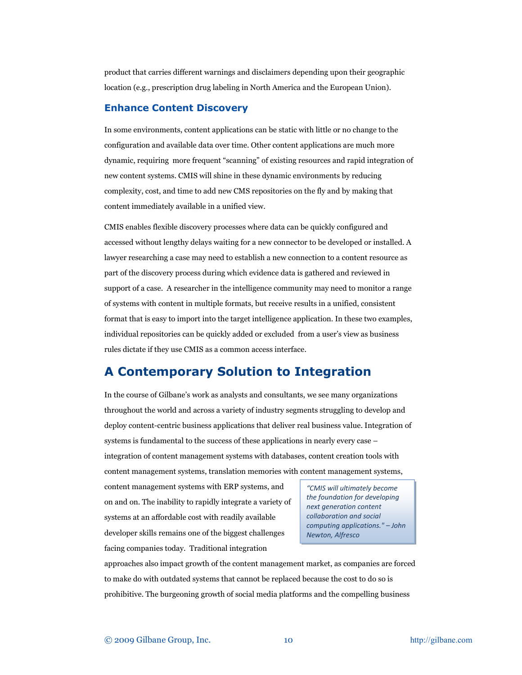product that carries different warnings and disclaimers depending upon their geographic location (e.g., prescription drug labeling in North America and the European Union).

#### **Enhance Content Discovery**

In some environments, content applications can be static with little or no change to the configuration and available data over time. Other content applications are much more dynamic, requiring more frequent "scanning" of existing resources and rapid integration of new content systems. CMIS will shine in these dynamic environments by reducing complexity, cost, and time to add new CMS repositories on the fly and by making that content immediately available in a unified view.

CMIS enables flexible discovery processes where data can be quickly configured and accessed without lengthy delays waiting for a new connector to be developed or installed. A lawyer researching a case may need to establish a new connection to a content resource as part of the discovery process during which evidence data is gathered and reviewed in support of a case. A researcher in the intelligence community may need to monitor a range of systems with content in multiple formats, but receive results in a unified, consistent format that is easy to import into the target intelligence application. In these two examples, individual repositories can be quickly added or excluded from a user's view as business rules dictate if they use CMIS as a common access interface.

# <span id="page-9-0"></span>**A Contemporary Solution to Integration**

In the course of Gilbane's work as analysts and consultants, we see many organizations throughout the world and across a variety of industry segments struggling to develop and deploy content-centric business applications that deliver real business value. Integration of systems is fundamental to the success of these applications in nearly every case – integration of content management systems with databases, content creation tools with

content management systems, translation memories with content management systems,

content management systems with ERP systems, and on and on. The inability to rapidly integrate a variety of systems at an affordable cost with readily available developer skills remains one of the biggest challenges facing companies today. Traditional integration

*"CMIS will ultimately become the foundation for developing next generation content collaboration and social computing applications." – John Newton, Alfresco*

approaches also impact growth of the content management market, as companies are forced to make do with outdated systems that cannot be replaced because the cost to do so is prohibitive. The burgeoning growth of social media platforms and the compelling business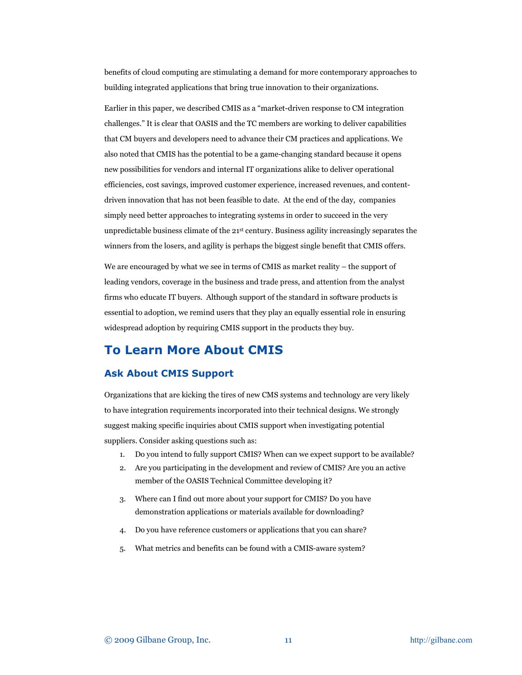benefits of cloud computing are stimulating a demand for more contemporary approaches to building integrated applications that bring true innovation to their organizations.

Earlier in this paper, we described CMIS as a "market-driven response to CM integration challenges." It is clear that OASIS and the TC members are working to deliver capabilities that CM buyers and developers need to advance their CM practices and applications. We also noted that CMIS has the potential to be a game-changing standard because it opens new possibilities for vendors and internal IT organizations alike to deliver operational efficiencies, cost savings, improved customer experience, increased revenues, and contentdriven innovation that has not been feasible to date. At the end of the day, companies simply need better approaches to integrating systems in order to succeed in the very unpredictable business climate of the  $21<sup>st</sup>$  century. Business agility increasingly separates the winners from the losers, and agility is perhaps the biggest single benefit that CMIS offers.

We are encouraged by what we see in terms of CMIS as market reality – the support of leading vendors, coverage in the business and trade press, and attention from the analyst firms who educate IT buyers. Although support of the standard in software products is essential to adoption, we remind users that they play an equally essential role in ensuring widespread adoption by requiring CMIS support in the products they buy.

### <span id="page-10-0"></span>**To Learn More About CMIS**

#### **Ask About CMIS Support**

Organizations that are kicking the tires of new CMS systems and technology are very likely to have integration requirements incorporated into their technical designs. We strongly suggest making specific inquiries about CMIS support when investigating potential suppliers. Consider asking questions such as:

- 1. Do you intend to fully support CMIS? When can we expect support to be available?
- 2. Are you participating in the development and review of CMIS? Are you an active member of the OASIS Technical Committee developing it?
- 3. Where can I find out more about your support for CMIS? Do you have demonstration applications or materials available for downloading?
- 4. Do you have reference customers or applications that you can share?
- 5. What metrics and benefits can be found with a CMIS-aware system?